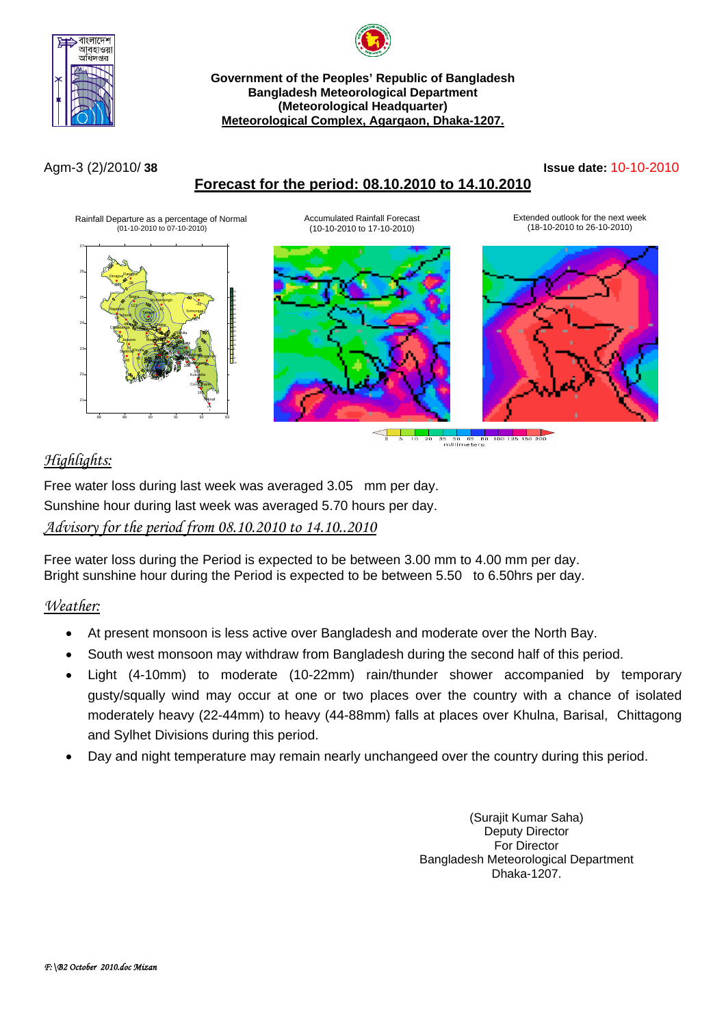



#### **Government of the Peoples' Republic of Bangladesh Bangladesh Meteorological Department (Meteorological Headquarter) Meteorological Complex, Agargaon, Dhaka-1207.**

# **Forecast for the period: 08.10.2010 to 14.10.2010**

#### Agm-3 (2)/2010/ **38 Issue date:** 10-10-2010





# *Highlights:*

Free water loss during last week was averaged 3.05 mm per day. Sunshine hour during last week was averaged 5.70 hours per day. *Advisory for the period from 08.10.2010 to 14.10..2010*

Free water loss during the Period is expected to be between 3.00 mm to 4.00 mm per day. Bright sunshine hour during the Period is expected to be between 5.50 to 6.50hrs per day.

## *Weather:*

- At present monsoon is less active over Bangladesh and moderate over the North Bay.
- South west monsoon may withdraw from Bangladesh during the second half of this period.
- Light (4-10mm) to moderate (10-22mm) rain/thunder shower accompanied by temporary gusty/squally wind may occur at one or two places over the country with a chance of isolated moderately heavy (22-44mm) to heavy (44-88mm) falls at places over Khulna, Barisal, Chittagong and Sylhet Divisions during this period.
- Day and night temperature may remain nearly unchangeed over the country during this period.

(Surajit Kumar Saha) Deputy Director For Director Bangladesh Meteorological Department Dhaka-1207.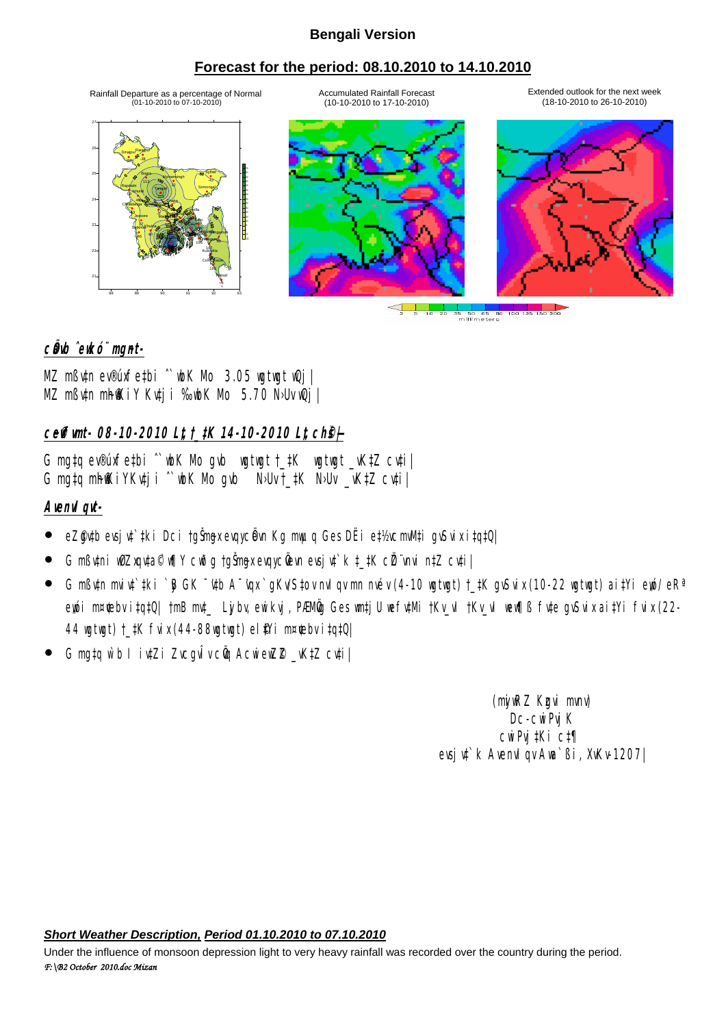### **Bengali Version**

## **Forecast for the period: 08.10.2010 to 14.10.2010**

Accumulated Rainfall Forecast (10-10-2010 to 17-10-2010)

Rainfall Departure as a percentage of Normal<br>(101-10-2010 to 07-10-2010)







Extended outlook for the next week (18-10-2010 to 26-10-2010)

 $\begin{array}{c|c|c|c|c} \hline \textbf{1} & \textbf{1} & \textbf{1} \\ \hline \textbf{2} & \textbf{5} & \textbf{10} & \textbf{20} \end{array}$ 

c**Ödd** ^ewkó¨ mgnt-

MZ mßv‡n ev®úxfe‡bi ˆ`wbK Mo 3.05 wgtwgt wQj| MZ mßutn mhokiy Kutji %ubK Nb 5.70 NbUvuQj

# **ceffunt- 08-10-2010 Lt, t\_#K 14-10-2010 Lt, ch@** $\neq$

G mg‡q ev®úxfe‡bi <sup>^</sup>wbK Mo gwb wgtwgt †\_#K wgtwgt \_vK#Z cv‡i| G mgtq mh@KiYKvtji ^`wk Mo gvb NoUvt\_tK NoUv \_vKtZ cvti|

## **AvenvIqvt-**

- eZ@utb evsju‡`#ki Dci †gŠmyxevqycÖvn Kg muµq Ges DËi e‡½xcmM‡i gvSuix i‡q‡Q|
- **G mßv‡ni wûZxqv‡a© v¶Y cwðg †gŠngx evqycÖevn evsjv‡`k ‡\_‡K cÖZ¨vnui n‡Z cv‡i|**
- G mߢn mi¢`‡ki `B GK ¯'¢b A¯'qx`qKv'S‡ov mJ qv mn mév (4-10 wgtwgt) †\_‡K gvSvix (10-22 wgtwgt) ai‡Yi eyó/ eRª ewi m¤¢bv i‡q‡Q| †mB mt\_ Lyjby, ewikvi, PÆNÖv Ges wntjU wefytMi †Kv\_vI †Kv\_vI wew¶ß fyte gySvix ai‡Yi fvix (22-44 wgtwgt) †\_#K fvix (44-88wgtwgt) el #Yi m¤¢ebv i‡q‡Q|
- G matq ẁb I ivtZi ZvcguÎv cũ AcwiewZ® \_vKtZ cvti

(ný RZ Kgvi mnv) Dc-cwiPviK cwiPvj‡Ki c‡¶ evsju<sup>t</sup> k AvenuI gv Ava`ßi, XvKv-1207|

*Short Weather Description, Period 01.10.2010 to 07.10.2010*

*F:\B2 October 2010.doc Mizan*  Under the influence of monsoon depression light to very heavy rainfall was recorded over the country during the period.